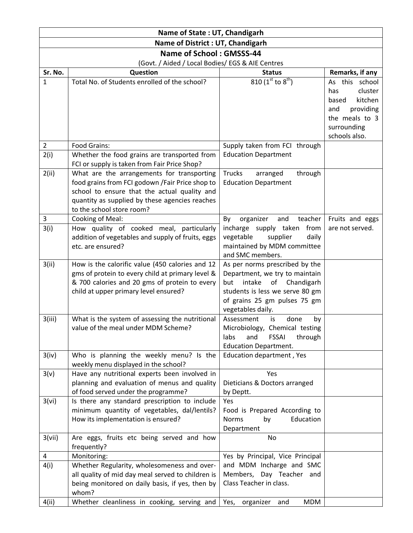| Name of State: UT, Chandigarh                    |                                                                                                                                                                                                                               |                                                                                                                                                                                               |                                                                                                                            |  |  |
|--------------------------------------------------|-------------------------------------------------------------------------------------------------------------------------------------------------------------------------------------------------------------------------------|-----------------------------------------------------------------------------------------------------------------------------------------------------------------------------------------------|----------------------------------------------------------------------------------------------------------------------------|--|--|
| Name of District : UT, Chandigarh                |                                                                                                                                                                                                                               |                                                                                                                                                                                               |                                                                                                                            |  |  |
| Name of School: GMSSS-44                         |                                                                                                                                                                                                                               |                                                                                                                                                                                               |                                                                                                                            |  |  |
| (Govt. / Aided / Local Bodies/ EGS & AIE Centres |                                                                                                                                                                                                                               |                                                                                                                                                                                               |                                                                                                                            |  |  |
| Sr. No.                                          | Question                                                                                                                                                                                                                      | <b>Status</b>                                                                                                                                                                                 | Remarks, if any                                                                                                            |  |  |
| $\mathbf{1}$                                     | Total No. of Students enrolled of the school?                                                                                                                                                                                 | 810 ( $1^{st}$ to $8^{th}$ )                                                                                                                                                                  | As this school<br>cluster<br>has<br>kitchen<br>based<br>providing<br>and<br>the meals to 3<br>surrounding<br>schools also. |  |  |
| $\overline{2}$                                   | Food Grains:                                                                                                                                                                                                                  | Supply taken from FCI through                                                                                                                                                                 |                                                                                                                            |  |  |
| 2(i)                                             | Whether the food grains are transported from<br>FCI or supply is taken from Fair Price Shop?                                                                                                                                  | <b>Education Department</b>                                                                                                                                                                   |                                                                                                                            |  |  |
| 2(ii)                                            | What are the arrangements for transporting<br>food grains from FCI godown / Fair Price shop to<br>school to ensure that the actual quality and<br>quantity as supplied by these agencies reaches<br>to the school store room? | <b>Trucks</b><br>through<br>arranged<br><b>Education Department</b>                                                                                                                           |                                                                                                                            |  |  |
| 3                                                | Cooking of Meal:                                                                                                                                                                                                              | organizer<br>and<br>teacher<br>By                                                                                                                                                             | Fruits and eggs                                                                                                            |  |  |
| 3(i)                                             | How quality of cooked meal, particularly<br>addition of vegetables and supply of fruits, eggs<br>etc. are ensured?                                                                                                            | incharge supply taken from<br>vegetable<br>supplier<br>daily<br>maintained by MDM committee<br>and SMC members.                                                                               | are not served.                                                                                                            |  |  |
| 3(ii)                                            | How is the calorific value (450 calories and 12<br>gms of protein to every child at primary level &<br>& 700 calories and 20 gms of protein to every<br>child at upper primary level ensured?                                 | As per norms prescribed by the<br>Department, we try to maintain<br>intake<br>Chandigarh<br>but<br>of<br>students is less we serve 80 gm<br>of grains 25 gm pulses 75 gm<br>vegetables daily. |                                                                                                                            |  |  |
| 3(iii)                                           | What is the system of assessing the nutritional<br>value of the meal under MDM Scheme?                                                                                                                                        | Assessment<br>done<br>is<br>by<br>Microbiology, Chemical testing<br><b>FSSAI</b><br>through<br>labs<br>and<br><b>Education Department.</b>                                                    |                                                                                                                            |  |  |
| 3(iv)                                            | Who is planning the weekly menu? Is the<br>weekly menu displayed in the school?                                                                                                                                               | Education department, Yes                                                                                                                                                                     |                                                                                                                            |  |  |
| 3(v)                                             | Have any nutritional experts been involved in<br>planning and evaluation of menus and quality<br>of food served under the programme?                                                                                          | Yes<br>Dieticians & Doctors arranged<br>by Deptt.                                                                                                                                             |                                                                                                                            |  |  |
| 3(vi)                                            | Is there any standard prescription to include<br>minimum quantity of vegetables, dal/lentils?<br>How its implementation is ensured?                                                                                           | Yes<br>Food is Prepared According to<br>Education<br>Norms<br>by<br>Department                                                                                                                |                                                                                                                            |  |  |
| 3(vii)                                           | Are eggs, fruits etc being served and how<br>frequently?                                                                                                                                                                      | No                                                                                                                                                                                            |                                                                                                                            |  |  |
| 4                                                | Monitoring:                                                                                                                                                                                                                   | Yes by Principal, Vice Principal                                                                                                                                                              |                                                                                                                            |  |  |
| 4(i)                                             | Whether Regularity, wholesomeness and over-<br>all quality of mid day meal served to children is<br>being monitored on daily basis, if yes, then by<br>whom?                                                                  | and MDM Incharge and SMC<br>Members, Day Teacher and<br>Class Teacher in class.                                                                                                               |                                                                                                                            |  |  |
| 4(ii)                                            | Whether cleanliness in cooking, serving and                                                                                                                                                                                   | <b>MDM</b><br>Yes,<br>organizer<br>and                                                                                                                                                        |                                                                                                                            |  |  |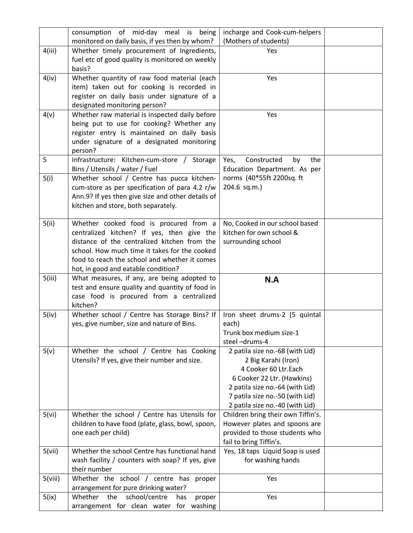|         | consumption of mid-day meal is being                                                        | incharge and Cook-cum-helpers                             |  |
|---------|---------------------------------------------------------------------------------------------|-----------------------------------------------------------|--|
|         | monitored on daily basis, if yes then by whom?                                              | (Mothers of students)                                     |  |
| 4(iii)  | Whether timely procurement of Ingredients,                                                  | Yes                                                       |  |
|         | fuel etc of good quality is monitored on weekly                                             |                                                           |  |
|         | basis?                                                                                      |                                                           |  |
| 4(iv)   | Whether quantity of raw food material (each                                                 | Yes                                                       |  |
|         | item) taken out for cooking is recorded in                                                  |                                                           |  |
|         | register on daily basis under signature of a                                                |                                                           |  |
|         | designated monitoring person?<br>Whether raw material is inspected daily before             | Yes                                                       |  |
| 4(v)    | being put to use for cooking? Whether any                                                   |                                                           |  |
|         | register entry is maintained on daily basis                                                 |                                                           |  |
|         | under signature of a designated monitoring                                                  |                                                           |  |
|         | person?                                                                                     |                                                           |  |
| 5       | Infrastructure: Kitchen-cum-store / Storage                                                 | Yes,<br>Constructed<br>the<br>by                          |  |
|         | Bins / Utensils / water / Fuel                                                              | Education Department. As per                              |  |
| 5(i)    | Whether school / Centre has pucca kitchen-                                                  | norms (40*55ft 2200sq. ft                                 |  |
|         | cum-store as per specification of para 4.2 r/w                                              | 204.6 sq.m.)                                              |  |
|         | Ann.9? If yes then give size and other details of                                           |                                                           |  |
|         | kitchen and store, both separately.                                                         |                                                           |  |
|         |                                                                                             |                                                           |  |
| 5(ii)   | Whether cooked food is procured from a                                                      | No, Cooked in our school based                            |  |
|         | centralized kitchen? If yes, then give the                                                  | kitchen for own school &                                  |  |
|         | distance of the centralized kitchen from the                                                | surrounding school                                        |  |
|         | school. How much time it takes for the cooked                                               |                                                           |  |
|         | food to reach the school and whether it comes                                               |                                                           |  |
|         |                                                                                             |                                                           |  |
|         | hot, in good and eatable condition?                                                         |                                                           |  |
| 5(iii)  | What measures, if any, are being adopted to                                                 | N.A                                                       |  |
|         | test and ensure quality and quantity of food in                                             |                                                           |  |
|         | case food is procured from a centralized<br>kitchen?                                        |                                                           |  |
| 5(iv)   | Whether school / Centre has Storage Bins? If                                                | Iron sheet drums-2 (5 quintal                             |  |
|         | yes, give number, size and nature of Bins.                                                  | each)                                                     |  |
|         |                                                                                             | Trunk box medium size-1                                   |  |
|         |                                                                                             | steel-drums-4                                             |  |
| 5(v)    | Whether the school / Centre has Cooking                                                     | 2 patila size no.-68 (with Lid)                           |  |
|         | Utensils? If yes, give their number and size.                                               | 2 Big Karahi (Iron)                                       |  |
|         |                                                                                             | 4 Cooker 60 Ltr.Each                                      |  |
|         |                                                                                             | 6 Cooker 22 Ltr. (Hawkins)                                |  |
|         |                                                                                             | 2 patila size no.-64 (with Lid)                           |  |
|         |                                                                                             | 7 patila size no.-50 (with Lid)                           |  |
|         |                                                                                             | 2 patila size no.-40 (with Lid)                           |  |
| 5(vi)   | Whether the school / Centre has Utensils for                                                | Children bring their own Tiffin's.                        |  |
|         | children to have food (plate, glass, bowl, spoon,                                           | However plates and spoons are                             |  |
|         | one each per child)                                                                         | provided to those students who<br>fail to bring Tiffin's. |  |
| 5(vii)  | Whether the school Centre has functional hand                                               | Yes, 18 taps Liquid Soap is used                          |  |
|         | wash facility / counters with soap? If yes, give                                            | for washing hands                                         |  |
|         | their number                                                                                |                                                           |  |
| 5(viii) | Whether the school / centre has proper                                                      | Yes                                                       |  |
|         | arrangement for pure drinking water?                                                        |                                                           |  |
| 5(ix)   | school/centre<br>Whether<br>the<br>has<br>proper<br>arrangement for clean water for washing | Yes                                                       |  |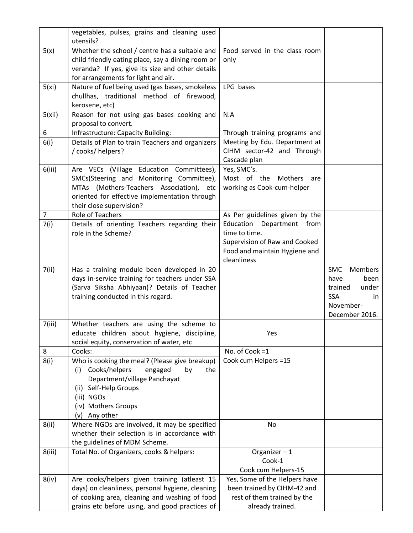|                | vegetables, pulses, grains and cleaning used<br>utensils?                                     |                                |                              |
|----------------|-----------------------------------------------------------------------------------------------|--------------------------------|------------------------------|
| 5(x)           | Whether the school / centre has a suitable and                                                | Food served in the class room  |                              |
|                | child friendly eating place, say a dining room or                                             | only                           |                              |
|                | veranda? If yes, give its size and other details                                              |                                |                              |
|                | for arrangements for light and air.                                                           |                                |                              |
| 5(xi)          | Nature of fuel being used (gas bases, smokeless                                               | LPG bases                      |                              |
|                | chullhas, traditional method of firewood,                                                     |                                |                              |
|                | kerosene, etc)                                                                                |                                |                              |
| 5(xii)         | Reason for not using gas bases cooking and                                                    | N.A                            |                              |
|                | proposal to convert.                                                                          |                                |                              |
| 6              | Infrastructure: Capacity Building:                                                            | Through training programs and  |                              |
| 6(i)           | Details of Plan to train Teachers and organizers                                              | Meeting by Edu. Department at  |                              |
|                | / cooks/ helpers?                                                                             | CIHM sector-42 and Through     |                              |
|                |                                                                                               | Cascade plan                   |                              |
| 6(iii)         | Are VECs (Village Education Committees),                                                      | Yes, SMC's.                    |                              |
|                | SMCs(Steering and Monitoring Committee),                                                      | Most of the Mothers are        |                              |
|                | MTAs (Mothers-Teachers Association), etc                                                      | working as Cook-cum-helper     |                              |
|                | oriented for effective implementation through                                                 |                                |                              |
|                | their close supervision?                                                                      |                                |                              |
| $\overline{7}$ | Role of Teachers                                                                              | As Per guidelines given by the |                              |
| 7(i)           | Details of orienting Teachers regarding their                                                 | Education<br>Department from   |                              |
|                | role in the Scheme?                                                                           | time to time.                  |                              |
|                |                                                                                               | Supervision of Raw and Cooked  |                              |
|                |                                                                                               | Food and maintain Hygiene and  |                              |
|                |                                                                                               | cleanliness                    |                              |
| 7(ii)          | Has a training module been developed in 20                                                    |                                | <b>SMC</b><br><b>Members</b> |
|                | days in-service training for teachers under SSA                                               |                                | have<br>been                 |
|                | (Sarva Siksha Abhiyaan)? Details of Teacher                                                   |                                | under<br>trained             |
|                | training conducted in this regard.                                                            |                                | <b>SSA</b><br>in             |
|                |                                                                                               |                                | November-                    |
|                |                                                                                               |                                | December 2016.               |
| 7(iii)         | Whether teachers are using the scheme to                                                      |                                |                              |
|                | educate children about hygiene, discipline,                                                   | Yes                            |                              |
|                | social equity, conservation of water, etc                                                     |                                |                              |
| 8              | Cooks:                                                                                        | No. of Cook =1                 |                              |
| 8(i)           | Who is cooking the meal? (Please give breakup)<br>Cooks/helpers                               | Cook cum Helpers =15           |                              |
|                | engaged<br>by<br>the<br>(i)<br>Department/village Panchayat                                   |                                |                              |
|                | (ii) Self-Help Groups                                                                         |                                |                              |
|                | (iii) NGOs                                                                                    |                                |                              |
|                | (iv) Mothers Groups                                                                           |                                |                              |
|                |                                                                                               |                                |                              |
| 8(ii)          | (v)                                                                                           |                                |                              |
|                | Any other                                                                                     |                                |                              |
|                | Where NGOs are involved, it may be specified<br>whether their selection is in accordance with | No                             |                              |
|                |                                                                                               |                                |                              |
| 8(iii)         | the guidelines of MDM Scheme.<br>Total No. of Organizers, cooks & helpers:                    | Organizer $-1$                 |                              |
|                |                                                                                               | Cook-1                         |                              |
|                |                                                                                               | Cook cum Helpers-15            |                              |
| 8(iv)          | Are cooks/helpers given training (atleast 15                                                  | Yes, Some of the Helpers have  |                              |
|                | days) on cleanliness, personal hygiene, cleaning                                              | been trained by CIHM-42 and    |                              |
|                | of cooking area, cleaning and washing of food                                                 | rest of them trained by the    |                              |